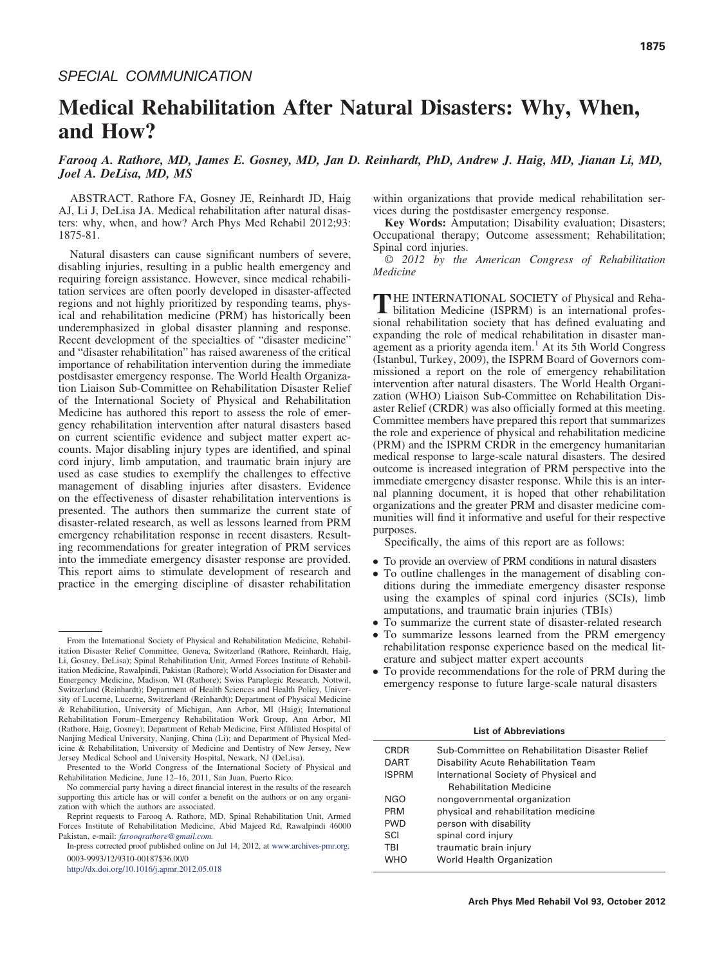# **Medical Rehabilitation After Natural Disasters: Why, When, and How?**

## *Farooq A. Rathore, MD, James E. Gosney, MD, Jan D. Reinhardt, PhD, Andrew J. Haig, MD, Jianan Li, MD, Joel A. DeLisa, MD, MS*

ABSTRACT. Rathore FA, Gosney JE, Reinhardt JD, Haig AJ, Li J, DeLisa JA. Medical rehabilitation after natural disasters: why, when, and how? Arch Phys Med Rehabil 2012;93: 1875-81.

Natural disasters can cause significant numbers of severe, disabling injuries, resulting in a public health emergency and requiring foreign assistance. However, since medical rehabilitation services are often poorly developed in disaster-affected regions and not highly prioritized by responding teams, physical and rehabilitation medicine (PRM) has historically been underemphasized in global disaster planning and response. Recent development of the specialties of "disaster medicine" and "disaster rehabilitation" has raised awareness of the critical importance of rehabilitation intervention during the immediate postdisaster emergency response. The World Health Organization Liaison Sub-Committee on Rehabilitation Disaster Relief of the International Society of Physical and Rehabilitation Medicine has authored this report to assess the role of emergency rehabilitation intervention after natural disasters based on current scientific evidence and subject matter expert accounts. Major disabling injury types are identified, and spinal cord injury, limb amputation, and traumatic brain injury are used as case studies to exemplify the challenges to effective management of disabling injuries after disasters. Evidence on the effectiveness of disaster rehabilitation interventions is presented. The authors then summarize the current state of disaster-related research, as well as lessons learned from PRM emergency rehabilitation response in recent disasters. Resulting recommendations for greater integration of PRM services into the immediate emergency disaster response are provided. This report aims to stimulate development of research and practice in the emerging discipline of disaster rehabilitation

<http://dx.doi.org/10.1016/j.apmr.2012.05.018>

within organizations that provide medical rehabilitation services during the postdisaster emergency response.

**Key Words:** Amputation; Disability evaluation; Disasters; Occupational therapy; Outcome assessment; Rehabilitation; Spinal cord injuries.

© *2012 by the American Congress of Rehabilitation Medicine*

**T**HE INTERNATIONAL SOCIETY of Physical and Reha-<br>bilitation Medicine (ISPRM) is an international professional rehabilitation society that has defined evaluating and expanding the role of medical rehabilitation in disaster man-agement as a priority agenda item.<sup>[1](#page-5-0)</sup> At its 5th World Congress (Istanbul, Turkey, 2009), the ISPRM Board of Governors commissioned a report on the role of emergency rehabilitation intervention after natural disasters. The World Health Organization (WHO) Liaison Sub-Committee on Rehabilitation Disaster Relief (CRDR) was also officially formed at this meeting. Committee members have prepared this report that summarizes the role and experience of physical and rehabilitation medicine (PRM) and the ISPRM CRDR in the emergency humanitarian medical response to large-scale natural disasters. The desired outcome is increased integration of PRM perspective into the immediate emergency disaster response. While this is an internal planning document, it is hoped that other rehabilitation organizations and the greater PRM and disaster medicine communities will find it informative and useful for their respective purposes.

Specifically, the aims of this report are as follows:

- To provide an overview of PRM conditions in natural disasters
- To outline challenges in the management of disabling conditions during the immediate emergency disaster response using the examples of spinal cord injuries (SCIs), limb amputations, and traumatic brain injuries (TBIs)
- To summarize the current state of disaster-related research
- To summarize lessons learned from the PRM emergency rehabilitation response experience based on the medical literature and subject matter expert accounts
- To provide recommendations for the role of PRM during the emergency response to future large-scale natural disasters

### **List of Abbreviations**

| CRDR<br>DART<br><b>ISPRM</b> | Sub-Committee on Rehabilitation Disaster Relief<br>Disability Acute Rehabilitation Team<br>International Society of Physical and |
|------------------------------|----------------------------------------------------------------------------------------------------------------------------------|
| NGO.                         | <b>Rehabilitation Medicine</b>                                                                                                   |
|                              | nongovernmental organization                                                                                                     |
| <b>PRM</b>                   | physical and rehabilitation medicine                                                                                             |
| <b>PWD</b>                   | person with disability                                                                                                           |
| SCI                          | spinal cord injury                                                                                                               |
| TBI                          | traumatic brain injury                                                                                                           |
| <b>WHO</b>                   | World Health Organization                                                                                                        |

From the International Society of Physical and Rehabilitation Medicine, Rehabilitation Disaster Relief Committee, Geneva, Switzerland (Rathore, Reinhardt, Haig, Li, Gosney, DeLisa); Spinal Rehabilitation Unit, Armed Forces Institute of Rehabilitation Medicine, Rawalpindi, Pakistan (Rathore); World Association for Disaster and Emergency Medicine, Madison, WI (Rathore); Swiss Paraplegic Research, Nottwil, Switzerland (Reinhardt); Department of Health Sciences and Health Policy, University of Lucerne, Lucerne, Switzerland (Reinhardt); Department of Physical Medicine & Rehabilitation, University of Michigan, Ann Arbor, MI (Haig); International Rehabilitation Forum–Emergency Rehabilitation Work Group, Ann Arbor, MI (Rathore, Haig, Gosney); Department of Rehab Medicine, First Affiliated Hospital of Nanjing Medical University, Nanjing, China (Li); and Department of Physical Medicine & Rehabilitation, University of Medicine and Dentistry of New Jersey, New Jersey Medical School and University Hospital, Newark, NJ (DeLisa).

Presented to the World Congress of the International Society of Physical and Rehabilitation Medicine, June 12–16, 2011, San Juan, Puerto Rico.

No commercial party having a direct financial interest in the results of the research supporting this article has or will confer a benefit on the authors or on any organization with which the authors are associated.

Reprint requests to Farooq A. Rathore, MD, Spinal Rehabilitation Unit, Armed Forces Institute of Rehabilitation Medicine, Abid Majeed Rd, Rawalpindi 46000 Pakistan, e-mail: *[farooqrathore@gmail.com.](mailto:farooqrathore@gmail.com)*

In-press corrected proof published online on Jul 14, 2012, at [www.archives-pmr.org.](http://www.archives-pmr.org) 0003-9993/12/9310-00187\$36.00/0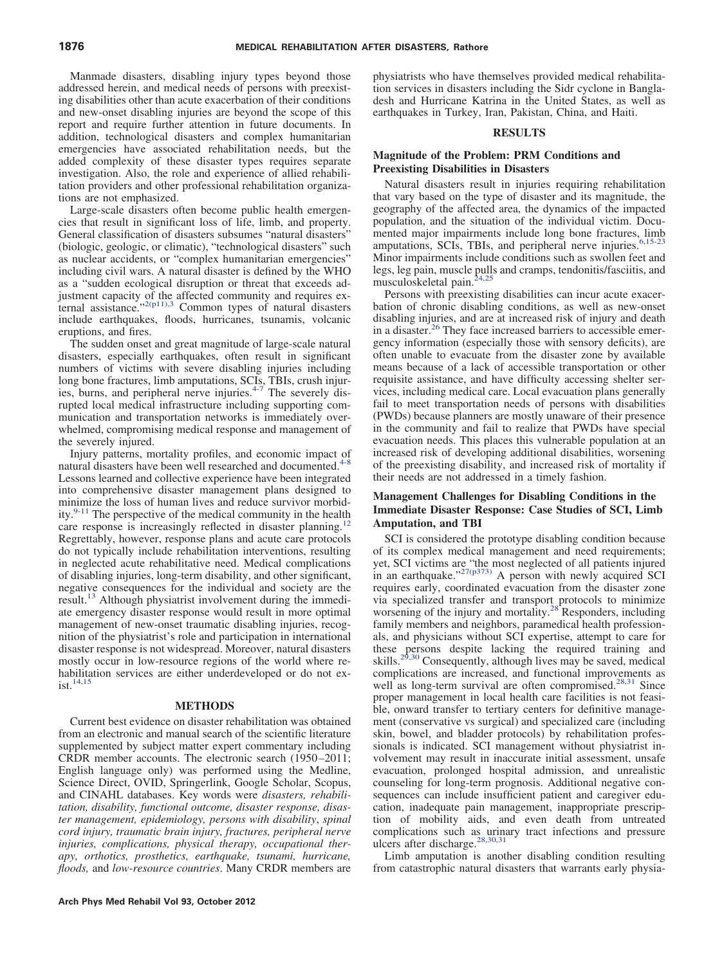Manmade disasters, disabling injury types beyond those addressed herein, and medical needs of persons with preexisting disabilities other than acute exacerbation of their conditions and new-onset disabling injuries are beyond the scope of this report and require further attention in future documents. In addition, technological disasters and complex humanitarian emergencies have associated rehabilitation needs, but the added complexity of these disaster types requires separate investigation. Also, the role and experience of allied rehabilitation providers and other professional rehabilitation organizations are not emphasized.

Large-scale disasters often become public health emergencies that result in significant loss of life, limb, and property. General classification of disasters subsumes "natural disasters" (biologic, geologic, or climatic), "technological disasters" such as nuclear accidents, or "complex humanitarian emergencies" including civil wars. A natural disaster is defined by the WHO as a "sudden ecological disruption or threat that exceeds adjustment capacity of the affected community and requires ex-ternal assistance."<sup>[2\(p11\),3](#page-5-1)</sup> Common types of natural disasters include earthquakes, floods, hurricanes, tsunamis, volcanic eruptions, and fires.

The sudden onset and great magnitude of large-scale natural disasters, especially earthquakes, often result in significant numbers of victims with severe disabling injuries including long bone fractures, limb amputations, SCIs, TBIs, crush injuries, burns, and peripheral nerve injuries.<sup>4-7</sup> The severely disrupted local medical infrastructure including supporting communication and transportation networks is immediately overwhelmed, compromising medical response and management of the severely injured.

Injury patterns, mortality profiles, and economic impact of natural disasters have been well researched and documented.<sup>4-8</sup> Lessons learned and collective experience have been integrated into comprehensive disaster management plans designed to minimize the loss of human lives and reduce survivor morbidity. $9-11$  The perspective of the medical community in the health care response is increasingly reflected in disaster planning.<sup>12</sup> Regrettably, however, response plans and acute care protocols do not typically include rehabilitation interventions, resulting in neglected acute rehabilitative need. Medical complications of disabling injuries, long-term disability, and other significant, negative consequences for the individual and society are the result.<sup>[13](#page-5-5)</sup> Although physiatrist involvement during the immediate emergency disaster response would result in more optimal management of new-onset traumatic disabling injuries, recognition of the physiatrist's role and participation in international disaster response is not widespread. Moreover, natural disasters mostly occur in low-resource regions of the world where rehabilitation services are either underdeveloped or do not exist.  $14,15$ 

#### **METHODS**

Current best evidence on disaster rehabilitation was obtained from an electronic and manual search of the scientific literature supplemented by subject matter expert commentary including CRDR member accounts. The electronic search (1950 –2011; English language only) was performed using the Medline, Science Direct, OVID, Springerlink, Google Scholar, Scopus, and CINAHL databases. Key words were *disasters, rehabilitation, disability, functional outcome, disaster response, disaster management, epidemiology, persons with disability*, *spinal cord injury, traumatic brain injury, fractures, peripheral nerve injuries, complications, physical therapy, occupational therapy, orthotics, prosthetics, earthquake, tsunami, hurricane, floods,* and *low-resource countries*. Many CRDR members are

physiatrists who have themselves provided medical rehabilitation services in disasters including the Sidr cyclone in Bangladesh and Hurricane Katrina in the United States, as well as earthquakes in Turkey, Iran, Pakistan, China, and Haiti.

## **RESULTS**

## **Magnitude of the Problem: PRM Conditions and Preexisting Disabilities in Disasters**

Natural disasters result in injuries requiring rehabilitation that vary based on the type of disaster and its magnitude, the geography of the affected area, the dynamics of the impacted population, and the situation of the individual victim. Documented major impairments include long bone fractures, limb amputations, SCIs, TBIs, and peripheral nerve injuries.<sup>6,15-</sup> Minor impairments include conditions such as swollen feet and legs, leg pain, muscle pulls and cramps, tendonitis/fasciitis, and musculoskeletal pain.<sup>[24,25](#page-5-8)</sup>

Persons with preexisting disabilities can incur acute exacerbation of chronic disabling conditions, as well as new-onset disabling injuries, and are at increased risk of injury and death in a disaster.<sup>[26](#page-5-9)</sup> They face increased barriers to accessible emergency information (especially those with sensory deficits), are often unable to evacuate from the disaster zone by available means because of a lack of accessible transportation or other requisite assistance, and have difficulty accessing shelter services, including medical care. Local evacuation plans generally fail to meet transportation needs of persons with disabilities (PWDs) because planners are mostly unaware of their presence in the community and fail to realize that PWDs have special evacuation needs. This places this vulnerable population at an increased risk of developing additional disabilities, worsening of the preexisting disability, and increased risk of mortality if their needs are not addressed in a timely fashion.

## **Management Challenges for Disabling Conditions in the Immediate Disaster Response: Case Studies of SCI, Limb Amputation, and TBI**

SCI is considered the prototype disabling condition because of its complex medical management and need requirements; yet, SCI victims are "the most neglected of all patients injured in an earthquake.["27\(p373\)](#page-6-0) A person with newly acquired SCI requires early, coordinated evacuation from the disaster zone via specialized transfer and transport protocols to minimize worsening of the injury and mortality.<sup>[28](#page-6-1)</sup> Responders, including family members and neighbors, paramedical health professionals, and physicians without SCI expertise, attempt to care for these persons despite lacking the required training and skills.<sup>29,30</sup> Consequently, although lives may be saved, medical complications are increased, and functional improvements as well as long-term survival are often compromised.<sup>[28,31](#page-6-1)</sup> Since proper management in local health care facilities is not feasible, onward transfer to tertiary centers for definitive management (conservative vs surgical) and specialized care (including skin, bowel, and bladder protocols) by rehabilitation professionals is indicated. SCI management without physiatrist involvement may result in inaccurate initial assessment, unsafe evacuation, prolonged hospital admission, and unrealistic counseling for long-term prognosis. Additional negative consequences can include insufficient patient and caregiver education, inadequate pain management, inappropriate prescription of mobility aids, and even death from untreated complications such as urinary tract infections and pressure ulcers after discharge.<sup>[28,30,31](#page-6-1)</sup>

Limb amputation is another disabling condition resulting from catastrophic natural disasters that warrants early physia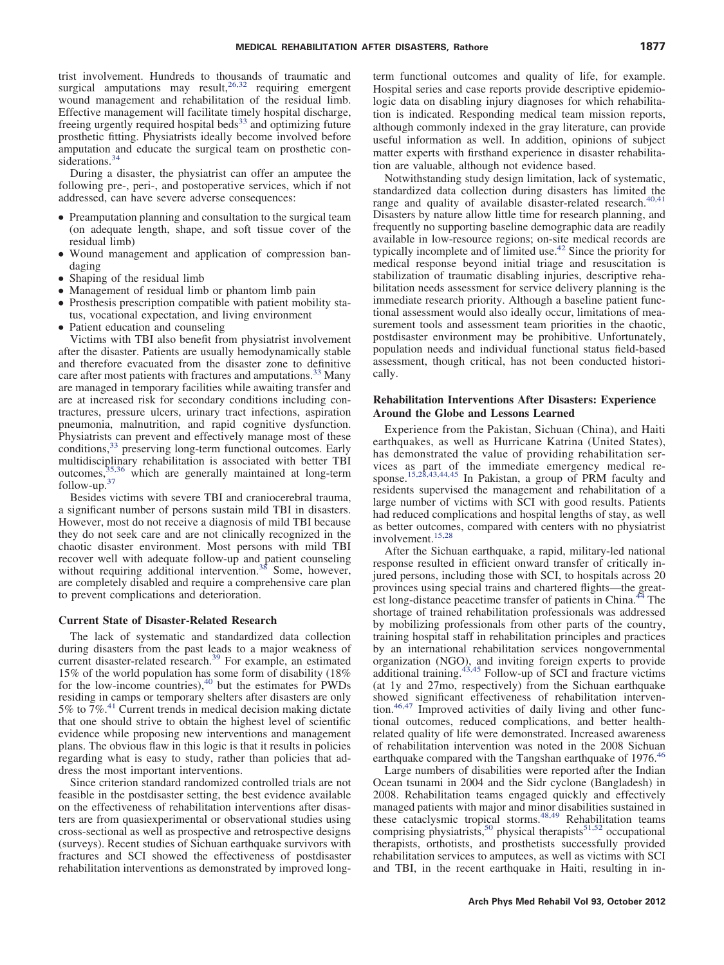trist involvement. Hundreds to thousands of traumatic and surgical amputations may result,  $26,32$  requiring emergent wound management and rehabilitation of the residual limb. Effective management will facilitate timely hospital discharge, freeing urgently required hospital beds $33$  and optimizing future prosthetic fitting. Physiatrists ideally become involved before amputation and educate the surgical team on prosthetic con-siderations.<sup>[34](#page-6-4)</sup>

During a disaster, the physiatrist can offer an amputee the following pre-, peri-, and postoperative services, which if not addressed, can have severe adverse consequences:

- Preamputation planning and consultation to the surgical team (on adequate length, shape, and soft tissue cover of the residual limb)
- Wound management and application of compression bandaging
- Shaping of the residual limb
- Management of residual limb or phantom limb pain
- Prosthesis prescription compatible with patient mobility status, vocational expectation, and living environment
- Patient education and counseling

Victims with TBI also benefit from physiatrist involvement after the disaster. Patients are usually hemodynamically stable and therefore evacuated from the disaster zone to definitive care after most patients with fractures and amputations.<sup>[33](#page-6-3)</sup> Many are managed in temporary facilities while awaiting transfer and are at increased risk for secondary conditions including contractures, pressure ulcers, urinary tract infections, aspiration pneumonia, malnutrition, and rapid cognitive dysfunction. Physiatrists can prevent and effectively manage most of these conditions,<sup>33</sup> preserving long-term functional outcomes. Early multidisciplinary rehabilitation is associated with better TBI outcomes,[35,36](#page-6-5) which are generally maintained at long-term follow-up.<sup>[37](#page-6-6)</sup>

Besides victims with severe TBI and craniocerebral trauma, a significant number of persons sustain mild TBI in disasters. However, most do not receive a diagnosis of mild TBI because they do not seek care and are not clinically recognized in the chaotic disaster environment. Most persons with mild TBI recover well with adequate follow-up and patient counseling without requiring additional intervention.<sup>38</sup> Some, however, are completely disabled and require a comprehensive care plan to prevent complications and deterioration.

#### **Current State of Disaster-Related Research**

The lack of systematic and standardized data collection during disasters from the past leads to a major weakness of current disaster-related research.<sup>[39](#page-6-8)</sup> For example, an estimated 15% of the world population has some form of disability (18% for the low-income countries),<sup>40</sup> but the estimates for PWDs residing in camps or temporary shelters after disasters are only 5% to 7%[.41](#page-6-10) Current trends in medical decision making dictate that one should strive to obtain the highest level of scientific evidence while proposing new interventions and management plans. The obvious flaw in this logic is that it results in policies regarding what is easy to study, rather than policies that address the most important interventions.

Since criterion standard randomized controlled trials are not feasible in the postdisaster setting, the best evidence available on the effectiveness of rehabilitation interventions after disasters are from quasiexperimental or observational studies using cross-sectional as well as prospective and retrospective designs (surveys). Recent studies of Sichuan earthquake survivors with fractures and SCI showed the effectiveness of postdisaster rehabilitation interventions as demonstrated by improved long-

term functional outcomes and quality of life, for example. Hospital series and case reports provide descriptive epidemiologic data on disabling injury diagnoses for which rehabilitation is indicated. Responding medical team mission reports, although commonly indexed in the gray literature, can provide useful information as well. In addition, opinions of subject matter experts with firsthand experience in disaster rehabilitation are valuable, although not evidence based.

Notwithstanding study design limitation, lack of systematic, standardized data collection during disasters has limited the range and quality of available disaster-related research. $40,41$ Disasters by nature allow little time for research planning, and frequently no supporting baseline demographic data are readily available in low-resource regions; on-site medical records are typically incomplete and of limited use.<sup>42</sup> Since the priority for medical response beyond initial triage and resuscitation is stabilization of traumatic disabling injuries, descriptive rehabilitation needs assessment for service delivery planning is the immediate research priority. Although a baseline patient functional assessment would also ideally occur, limitations of measurement tools and assessment team priorities in the chaotic, postdisaster environment may be prohibitive. Unfortunately, population needs and individual functional status field-based assessment, though critical, has not been conducted historically.

## **Rehabilitation Interventions After Disasters: Experience Around the Globe and Lessons Learned**

Experience from the Pakistan, Sichuan (China), and Haiti earthquakes, as well as Hurricane Katrina (United States), has demonstrated the value of providing rehabilitation services as part of the immediate emergency medical re-sponse.[15,28,43,44,45](#page-5-10) In Pakistan, a group of PRM faculty and residents supervised the management and rehabilitation of a large number of victims with SCI with good results. Patients had reduced complications and hospital lengths of stay, as well as better outcomes, compared with centers with no physiatrist involvement[.15,28](#page-5-10)

After the Sichuan earthquake, a rapid, military-led national response resulted in efficient onward transfer of critically injured persons, including those with SCI, to hospitals across 20 provinces using special trains and chartered flights—the greatest long-distance peacetime transfer of patients in China.<sup>44</sup> The shortage of trained rehabilitation professionals was addressed by mobilizing professionals from other parts of the country, training hospital staff in rehabilitation principles and practices by an international rehabilitation services nongovernmental organization (NGO), and inviting foreign experts to provide additional training.[43,45](#page-6-13) Follow-up of SCI and fracture victims (at 1y and 27mo, respectively) from the Sichuan earthquake showed significant effectiveness of rehabilitation intervention.[46,47](#page-6-14) Improved activities of daily living and other functional outcomes, reduced complications, and better healthrelated quality of life were demonstrated. Increased awareness of rehabilitation intervention was noted in the 2008 Sichuan earthquake compared with the Tangshan earthquake of 1976.<sup>46</sup>

Large numbers of disabilities were reported after the Indian Ocean tsunami in 2004 and the Sidr cyclone (Bangladesh) in 2008. Rehabilitation teams engaged quickly and effectively managed patients with major and minor disabilities sustained in these cataclysmic tropical storms.<sup>[48,49](#page-6-15)</sup> Rehabilitation teams comprising physiatrists,<sup>[50](#page-6-16)</sup> physical therapists<sup>51,52</sup> occupational therapists, orthotists, and prosthetists successfully provided rehabilitation services to amputees, as well as victims with SCI and TBI, in the recent earthquake in Haiti, resulting in in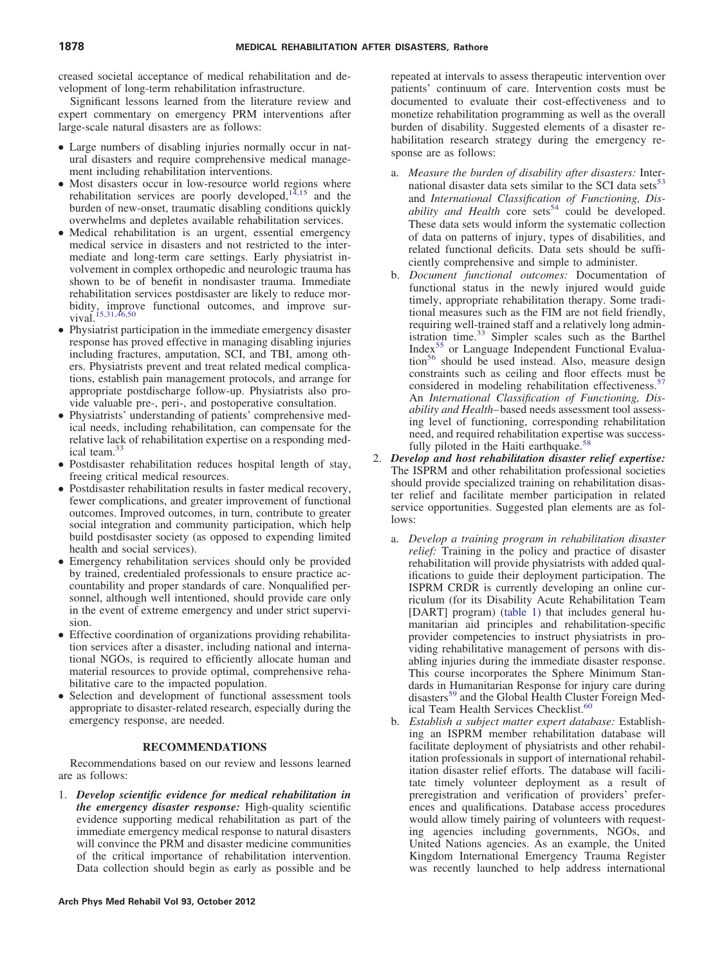creased societal acceptance of medical rehabilitation and development of long-term rehabilitation infrastructure.

Significant lessons learned from the literature review and expert commentary on emergency PRM interventions after large-scale natural disasters are as follows:

- Large numbers of disabling injuries normally occur in natural disasters and require comprehensive medical management including rehabilitation interventions.
- Most disasters occur in low-resource world regions where rehabilitation services are poorly developed, $14,15$  and the burden of new-onset, traumatic disabling conditions quickly overwhelms and depletes available rehabilitation services.
- Medical rehabilitation is an urgent, essential emergency medical service in disasters and not restricted to the intermediate and long-term care settings. Early physiatrist involvement in complex orthopedic and neurologic trauma has shown to be of benefit in nondisaster trauma. Immediate rehabilitation services postdisaster are likely to reduce morbidity, improve functional outcomes, and improve sur-vival.[15,31,46,50](#page-5-10)
- Physiatrist participation in the immediate emergency disaster response has proved effective in managing disabling injuries including fractures, amputation, SCI, and TBI, among others. Physiatrists prevent and treat related medical complications, establish pain management protocols, and arrange for appropriate postdischarge follow-up. Physiatrists also provide valuable pre-, peri-, and postoperative consultation.
- Physiatrists' understanding of patients' comprehensive medical needs, including rehabilitation, can compensate for the relative lack of rehabilitation expertise on a responding medical team[.33](#page-6-3)
- Postdisaster rehabilitation reduces hospital length of stay, freeing critical medical resources.
- Postdisaster rehabilitation results in faster medical recovery, fewer complications, and greater improvement of functional outcomes. Improved outcomes, in turn, contribute to greater social integration and community participation, which help build postdisaster society (as opposed to expending limited health and social services).
- Emergency rehabilitation services should only be provided by trained, credentialed professionals to ensure practice accountability and proper standards of care. Nonqualified personnel, although well intentioned, should provide care only in the event of extreme emergency and under strict supervision.
- Effective coordination of organizations providing rehabilitation services after a disaster, including national and international NGOs, is required to efficiently allocate human and material resources to provide optimal, comprehensive rehabilitative care to the impacted population.
- Selection and development of functional assessment tools appropriate to disaster-related research, especially during the emergency response, are needed.

## **RECOMMENDATIONS**

Recommendations based on our review and lessons learned are as follows:

1. *Develop scientific evidence for medical rehabilitation in the emergency disaster response:* High-quality scientific evidence supporting medical rehabilitation as part of the immediate emergency medical response to natural disasters will convince the PRM and disaster medicine communities of the critical importance of rehabilitation intervention. Data collection should begin as early as possible and be

patients' continuum of care. Intervention costs must be documented to evaluate their cost-effectiveness and to monetize rehabilitation programming as well as the overall burden of disability. Suggested elements of a disaster rehabilitation research strategy during the emergency response are as follows:

a. *Measure the burden of disability after disasters:* International disaster data sets similar to the SCI data sets<sup>53</sup> and *International Classification of Functioning, Disability and Health* core sets<sup>[54](#page-6-19)</sup> could be developed. These data sets would inform the systematic collection of data on patterns of injury, types of disabilities, and related functional deficits. Data sets should be sufficiently comprehensive and simple to administer.

repeated at intervals to assess therapeutic intervention over

- b. *Document functional outcomes:* Documentation of functional status in the newly injured would guide timely, appropriate rehabilitation therapy. Some traditional measures such as the FIM are not field friendly, requiring well-trained staff and a relatively long admin-istration time.<sup>[33](#page-6-3)</sup> Simpler scales such as the Barthel Index[55](#page-6-20) or Language Independent Functional Evaluation<sup>56</sup> should be used instead. Also, measure design constraints such as ceiling and floor effects must be considered in modeling rehabilitation effectiveness.<sup>5</sup> An *International Classification of Functioning, Disability and Health*– based needs assessment tool assessing level of functioning, corresponding rehabilitation need, and required rehabilitation expertise was successfully piloted in the Haiti earthquake.<sup>58</sup>
- 2. *Develop and host rehabilitation disaster relief expertise:* The ISPRM and other rehabilitation professional societies should provide specialized training on rehabilitation disaster relief and facilitate member participation in related service opportunities. Suggested plan elements are as follows:
	- a. *Develop a training program in rehabilitation disaster relief:* Training in the policy and practice of disaster rehabilitation will provide physiatrists with added qualifications to guide their deployment participation. The ISPRM CRDR is currently developing an online curriculum (for its Disability Acute Rehabilitation Team [DART] program) [\(table 1\)](#page-4-0) that includes general humanitarian aid principles and rehabilitation-specific provider competencies to instruct physiatrists in providing rehabilitative management of persons with disabling injuries during the immediate disaster response. This course incorporates the Sphere Minimum Standards in Humanitarian Response for injury care during disasters<sup>59</sup> and the Global Health Cluster Foreign Medical Team Health Services Checklist.<sup>60</sup>
	- b. *Establish a subject matter expert database:* Establishing an ISPRM member rehabilitation database will facilitate deployment of physiatrists and other rehabilitation professionals in support of international rehabilitation disaster relief efforts. The database will facilitate timely volunteer deployment as a result of preregistration and verification of providers' preferences and qualifications. Database access procedures would allow timely pairing of volunteers with requesting agencies including governments, NGOs, and United Nations agencies. As an example, the United Kingdom International Emergency Trauma Register was recently launched to help address international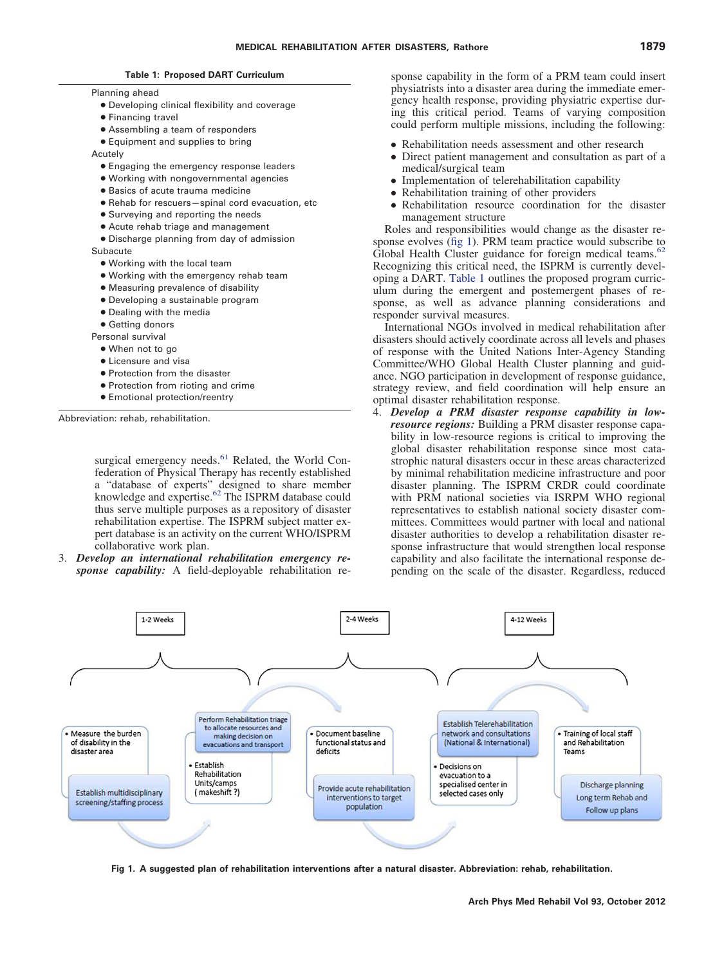### <span id="page-4-0"></span>**Table 1: Proposed DART Curriculum**

Planning ahead

- Developing clinical flexibility and coverage
- Financing travel
- Assembling a team of responders
- Equipment and supplies to bring

Acutely

- Engaging the emergency response leaders
- Working with nongovernmental agencies
- Basics of acute trauma medicine
- Rehab for rescuers—spinal cord evacuation, etc
- Surveying and reporting the needs
- Acute rehab triage and management
- Discharge planning from day of admission

Subacute

- Working with the local team
- Working with the emergency rehab team
- Measuring prevalence of disability
- Developing a sustainable program
- Dealing with the media
- Getting donors

Personal survival

- When not to go
- Licensure and visa
- Protection from the disaster
- Protection from rioting and crime
- Emotional protection/reentry

Abbreviation: rehab, rehabilitation.

surgical emergency needs. $61$  Related, the World Confederation of Physical Therapy has recently established a "database of experts" designed to share member knowledge and expertise.<sup>[62](#page-6-27)</sup> The ISPRM database could thus serve multiple purposes as a repository of disaster rehabilitation expertise. The ISPRM subject matter expert database is an activity on the current WHO/ISPRM collaborative work plan.

3. *Develop an international rehabilitation emergency response capability:* A field-deployable rehabilitation response capability in the form of a PRM team could insert physiatrists into a disaster area during the immediate emergency health response, providing physiatric expertise during this critical period. Teams of varying composition could perform multiple missions, including the following:

- Rehabilitation needs assessment and other research
- Direct patient management and consultation as part of a medical/surgical team
- Implementation of telerehabilitation capability
- Rehabilitation training of other providers
- Rehabilitation resource coordination for the disaster management structure

Roles and responsibilities would change as the disaster response evolves [\(fig 1\)](#page-4-1). PRM team practice would subscribe to Global Health Cluster guidance for foreign medical teams. $62$ Recognizing this critical need, the ISPRM is currently developing a DART. [Table 1](#page-4-0) outlines the proposed program curriculum during the emergent and postemergent phases of response, as well as advance planning considerations and responder survival measures.

International NGOs involved in medical rehabilitation after disasters should actively coordinate across all levels and phases of response with the United Nations Inter-Agency Standing Committee/WHO Global Health Cluster planning and guidance. NGO participation in development of response guidance, strategy review, and field coordination will help ensure an optimal disaster rehabilitation response.

4. *Develop a PRM disaster response capability in lowresource regions:* Building a PRM disaster response capability in low-resource regions is critical to improving the global disaster rehabilitation response since most catastrophic natural disasters occur in these areas characterized by minimal rehabilitation medicine infrastructure and poor disaster planning. The ISPRM CRDR could coordinate with PRM national societies via ISRPM WHO regional representatives to establish national society disaster committees. Committees would partner with local and national disaster authorities to develop a rehabilitation disaster response infrastructure that would strengthen local response capability and also facilitate the international response depending on the scale of the disaster. Regardless, reduced



<span id="page-4-1"></span>**Fig 1. A suggested plan of rehabilitation interventions after a natural disaster. Abbreviation: rehab, rehabilitation.**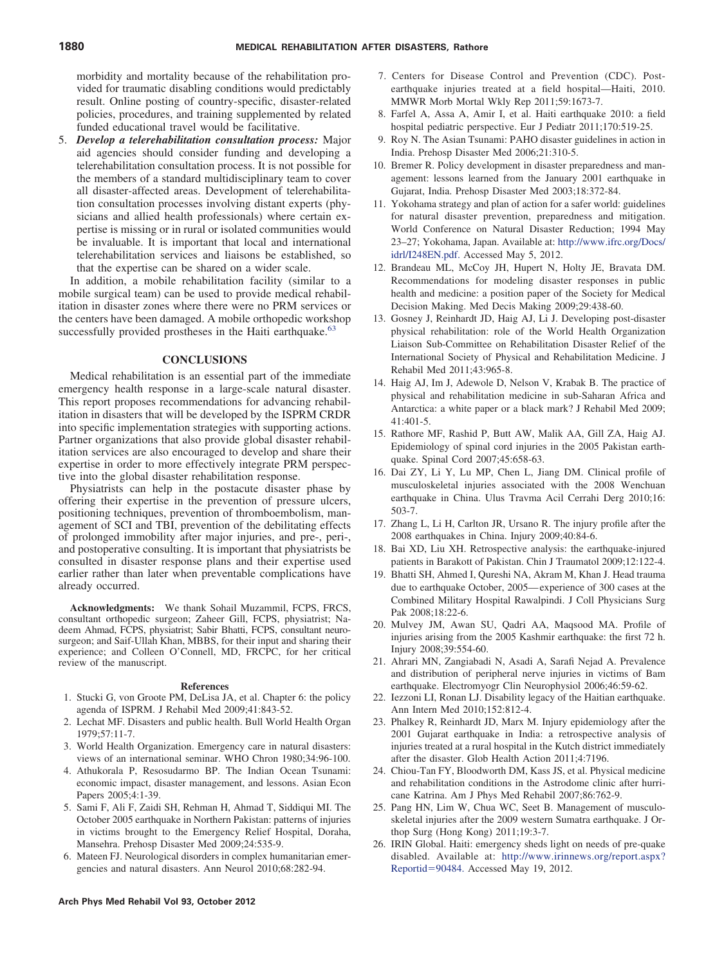morbidity and mortality because of the rehabilitation provided for traumatic disabling conditions would predictably result. Online posting of country-specific, disaster-related policies, procedures, and training supplemented by related funded educational travel would be facilitative.

5. *Develop a telerehabilitation consultation process:* Major aid agencies should consider funding and developing a telerehabilitation consultation process. It is not possible for the members of a standard multidisciplinary team to cover all disaster-affected areas. Development of telerehabilitation consultation processes involving distant experts (physicians and allied health professionals) where certain expertise is missing or in rural or isolated communities would be invaluable. It is important that local and international telerehabilitation services and liaisons be established, so that the expertise can be shared on a wider scale.

In addition, a mobile rehabilitation facility (similar to a mobile surgical team) can be used to provide medical rehabilitation in disaster zones where there were no PRM services or the centers have been damaged. A mobile orthopedic workshop successfully provided prostheses in the Haiti earthquake.<sup>[63](#page-6-28)</sup>

## **CONCLUSIONS**

Medical rehabilitation is an essential part of the immediate emergency health response in a large-scale natural disaster. This report proposes recommendations for advancing rehabilitation in disasters that will be developed by the ISPRM CRDR into specific implementation strategies with supporting actions. Partner organizations that also provide global disaster rehabilitation services are also encouraged to develop and share their expertise in order to more effectively integrate PRM perspective into the global disaster rehabilitation response.

Physiatrists can help in the postacute disaster phase by offering their expertise in the prevention of pressure ulcers, positioning techniques, prevention of thromboembolism, management of SCI and TBI, prevention of the debilitating effects of prolonged immobility after major injuries, and pre-, peri-, and postoperative consulting. It is important that physiatrists be consulted in disaster response plans and their expertise used earlier rather than later when preventable complications have already occurred.

**Acknowledgments:** We thank Sohail Muzammil, FCPS, FRCS, consultant orthopedic surgeon; Zaheer Gill, FCPS, physiatrist; Nadeem Ahmad, FCPS, physiatrist; Sabir Bhatti, FCPS, consultant neurosurgeon; and Saif-Ullah Khan, MBBS, for their input and sharing their experience; and Colleen O'Connell, MD, FRCPC, for her critical review of the manuscript.

#### **References**

- <span id="page-5-1"></span><span id="page-5-0"></span>1. Stucki G, von Groote PM, DeLisa JA, et al. Chapter 6: the policy agenda of ISPRM. J Rehabil Med 2009;41:843-52.
- 2. Lechat MF. Disasters and public health. Bull World Health Organ 1979;57:11-7.
- <span id="page-5-2"></span>3. World Health Organization. Emergency care in natural disasters: views of an international seminar. WHO Chron 1980;34:96-100.
- 4. Athukorala P, Resosudarmo BP. The Indian Ocean Tsunami: economic impact, disaster management, and lessons. Asian Econ Papers 2005;4:1-39.
- 5. Sami F, Ali F, Zaidi SH, Rehman H, Ahmad T, Siddiqui MI. The October 2005 earthquake in Northern Pakistan: patterns of injuries in victims brought to the Emergency Relief Hospital, Doraha, Mansehra. Prehosp Disaster Med 2009;24:535-9.
- <span id="page-5-7"></span>6. Mateen FJ. Neurological disorders in complex humanitarian emergencies and natural disasters. Ann Neurol 2010;68:282-94.
- 7. Centers for Disease Control and Prevention (CDC). Postearthquake injuries treated at a field hospital—Haiti, 2010. MMWR Morb Mortal Wkly Rep 2011;59:1673-7.
- <span id="page-5-3"></span>8. Farfel A, Assa A, Amir I, et al. Haiti earthquake 2010: a field hospital pediatric perspective. Eur J Pediatr 2011;170:519-25.
- 9. Roy N. The Asian Tsunami: PAHO disaster guidelines in action in India. Prehosp Disaster Med 2006;21:310-5.
- 10. Bremer R. Policy development in disaster preparedness and management: lessons learned from the January 2001 earthquake in Gujarat, India. Prehosp Disaster Med 2003;18:372-84.
- 11. Yokohama strategy and plan of action for a safer world: guidelines for natural disaster prevention, preparedness and mitigation. World Conference on Natural Disaster Reduction; 1994 May 23–27; Yokohama, Japan. Available at: [http://www.ifrc.org/Docs/](http://www.ifrc.org/Docs/idrl/I248EN.pdf) [idrl/I248EN.pdf.](http://www.ifrc.org/Docs/idrl/I248EN.pdf) Accessed May 5, 2012.
- <span id="page-5-4"></span>12. Brandeau ML, McCoy JH, Hupert N, Holty JE, Bravata DM. Recommendations for modeling disaster responses in public health and medicine: a position paper of the Society for Medical Decision Making. Med Decis Making 2009;29:438-60.
- <span id="page-5-5"></span>13. Gosney J, Reinhardt JD, Haig AJ, Li J. Developing post-disaster physical rehabilitation: role of the World Health Organization Liaison Sub-Committee on Rehabilitation Disaster Relief of the International Society of Physical and Rehabilitation Medicine. J Rehabil Med 2011;43:965-8.
- <span id="page-5-6"></span>14. Haig AJ, Im J, Adewole D, Nelson V, Krabak B. The practice of physical and rehabilitation medicine in sub-Saharan Africa and Antarctica: a white paper or a black mark? J Rehabil Med 2009; 41:401-5.
- <span id="page-5-10"></span>15. Rathore MF, Rashid P, Butt AW, Malik AA, Gill ZA, Haig AJ. Epidemiology of spinal cord injuries in the 2005 Pakistan earthquake. Spinal Cord 2007;45:658-63.
- 16. Dai ZY, Li Y, Lu MP, Chen L, Jiang DM. Clinical profile of musculoskeletal injuries associated with the 2008 Wenchuan earthquake in China. Ulus Travma Acil Cerrahi Derg 2010;16: 503-7.
- 17. Zhang L, Li H, Carlton JR, Ursano R. The injury profile after the 2008 earthquakes in China. Injury 2009;40:84-6.
- 18. Bai XD, Liu XH. Retrospective analysis: the earthquake-injured patients in Barakott of Pakistan. Chin J Traumatol 2009;12:122-4.
- 19. Bhatti SH, Ahmed I, Qureshi NA, Akram M, Khan J. Head trauma due to earthquake October, 2005— experience of 300 cases at the Combined Military Hospital Rawalpindi. J Coll Physicians Surg Pak 2008;18:22-6.
- 20. Mulvey JM, Awan SU, Qadri AA, Maqsood MA. Profile of injuries arising from the 2005 Kashmir earthquake: the first 72 h. Injury 2008;39:554-60.
- 21. Ahrari MN, Zangiabadi N, Asadi A, Sarafi Nejad A. Prevalence and distribution of peripheral nerve injuries in victims of Bam earthquake. Electromyogr Clin Neurophysiol 2006;46:59-62.
- 22. Iezzoni LI, Ronan LJ. Disability legacy of the Haitian earthquake. Ann Intern Med 2010;152:812-4.
- 23. Phalkey R, Reinhardt JD, Marx M. Injury epidemiology after the 2001 Gujarat earthquake in India: a retrospective analysis of injuries treated at a rural hospital in the Kutch district immediately after the disaster. Glob Health Action 2011;4:7196.
- <span id="page-5-8"></span>24. Chiou-Tan FY, Bloodworth DM, Kass JS, et al. Physical medicine and rehabilitation conditions in the Astrodome clinic after hurricane Katrina. Am J Phys Med Rehabil 2007;86:762-9.
- <span id="page-5-9"></span>25. Pang HN, Lim W, Chua WC, Seet B. Management of musculoskeletal injuries after the 2009 western Sumatra earthquake. J Orthop Surg (Hong Kong) 2011;19:3-7.
- 26. IRIN Global. Haiti: emergency sheds light on needs of pre-quake disabled. Available at: [http://www.irinnews.org/report.aspx?](http://www.irinnews.org/report.aspx?Reportid=90484) [Reportid](http://www.irinnews.org/report.aspx?Reportid=90484)=90484. Accessed May 19, 2012.